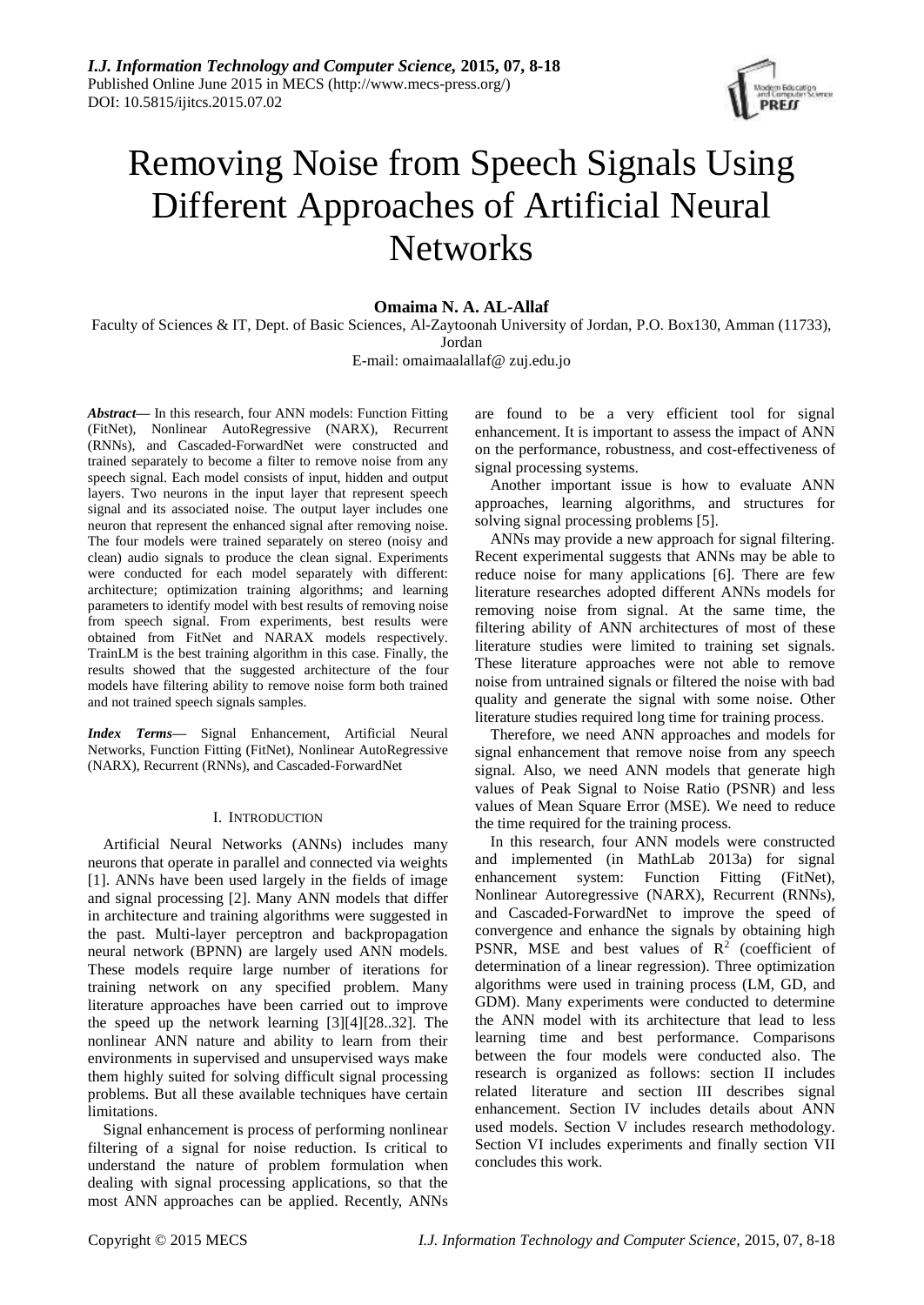

# Removing Noise from Speech Signals Using Different Approaches of Artificial Neural **Networks**

# **Omaima N. A. AL-Allaf**

Faculty of Sciences & IT, Dept. of Basic Sciences, Al-Zaytoonah University of Jordan, P.O. Box130, Amman (11733), Jordan

E-mail: omaimaalallaf@ zuj.edu.jo

*Abstract***—** In this research, four ANN models: Function Fitting (FitNet), Nonlinear AutoRegressive (NARX), Recurrent (RNNs), and Cascaded-ForwardNet were constructed and trained separately to become a filter to remove noise from any speech signal. Each model consists of input, hidden and output layers. Two neurons in the input layer that represent speech signal and its associated noise. The output layer includes one neuron that represent the enhanced signal after removing noise. The four models were trained separately on stereo (noisy and clean) audio signals to produce the clean signal. Experiments were conducted for each model separately with different: architecture; optimization training algorithms; and learning parameters to identify model with best results of removing noise from speech signal. From experiments, best results were obtained from FitNet and NARAX models respectively. TrainLM is the best training algorithm in this case. Finally, the results showed that the suggested architecture of the four models have filtering ability to remove noise form both trained and not trained speech signals samples.

*Index Terms***—** Signal Enhancement, Artificial Neural Networks, Function Fitting (FitNet), Nonlinear AutoRegressive (NARX), Recurrent (RNNs), and Cascaded-ForwardNet

# I. INTRODUCTION

Artificial Neural Networks (ANNs) includes many neurons that operate in parallel and connected via weights [1]. ANNs have been used largely in the fields of image and signal processing [2]. Many ANN models that differ in architecture and training algorithms were suggested in the past. Multi-layer perceptron and backpropagation neural network (BPNN) are largely used ANN models. These models require large number of iterations for training network on any specified problem. Many literature approaches have been carried out to improve the speed up the network learning [3][4][28..32]. The nonlinear ANN nature and ability to learn from their environments in supervised and unsupervised ways make them highly suited for solving difficult signal processing problems. But all these available techniques have certain limitations.

Signal enhancement is process of performing nonlinear filtering of a signal for noise reduction. Is critical to understand the nature of problem formulation when dealing with signal processing applications, so that the most ANN approaches can be applied. Recently, ANNs are found to be a very efficient tool for signal enhancement. It is important to assess the impact of ANN on the performance, robustness, and cost-effectiveness of signal processing systems.

Another important issue is how to evaluate ANN approaches, learning algorithms, and structures for solving signal processing problems [5].

ANNs may provide a new approach for signal filtering. Recent experimental suggests that ANNs may be able to reduce noise for many applications [6]. There are few literature researches adopted different ANNs models for removing noise from signal. At the same time, the filtering ability of ANN architectures of most of these literature studies were limited to training set signals. These literature approaches were not able to remove noise from untrained signals or filtered the noise with bad quality and generate the signal with some noise. Other literature studies required long time for training process.

Therefore, we need ANN approaches and models for signal enhancement that remove noise from any speech signal. Also, we need ANN models that generate high values of Peak Signal to Noise Ratio (PSNR) and less values of Mean Square Error (MSE). We need to reduce the time required for the training process.

In this research, four ANN models were constructed and implemented (in MathLab 2013a) for signal enhancement system: Function Fitting (FitNet), Nonlinear Autoregressive (NARX), Recurrent (RNNs), and Cascaded-ForwardNet to improve the speed of convergence and enhance the signals by obtaining high PSNR, MSE and best values of  $\mathbb{R}^2$  (coefficient of determination of a linear regression). Three optimization algorithms were used in training process (LM, GD, and GDM). Many experiments were conducted to determine the ANN model with its architecture that lead to less learning time and best performance. Comparisons between the four models were conducted also. The research is organized as follows: section II includes related literature and section III describes signal enhancement. Section IV includes details about ANN used models. Section V includes research methodology. Section VI includes experiments and finally section VII concludes this work.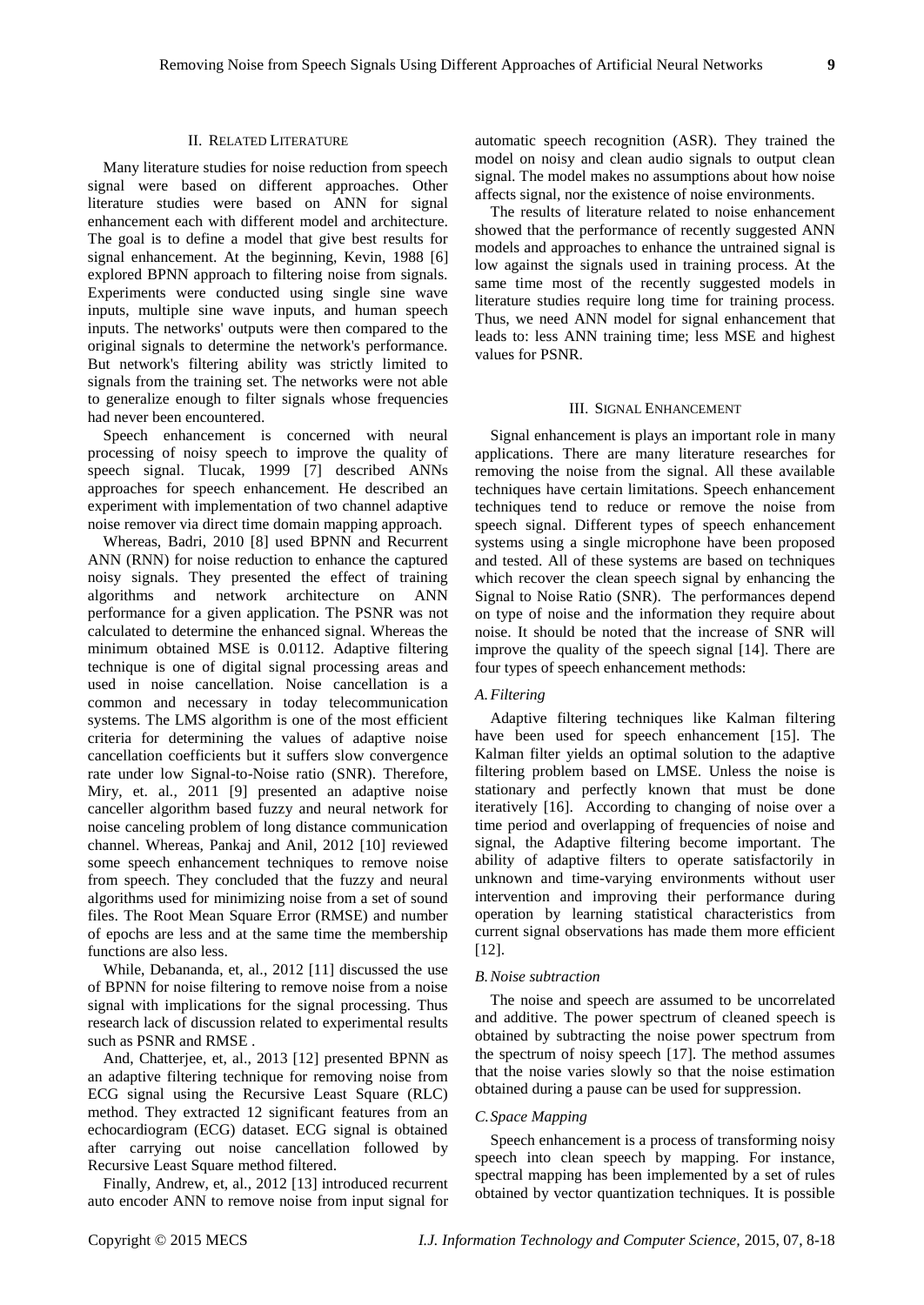# II. RELATED LITERATURE

Many literature studies for noise reduction from speech signal were based on different approaches. Other literature studies were based on ANN for signal enhancement each with different model and architecture. The goal is to define a model that give best results for signal enhancement. At the beginning, Kevin, 1988 [6] explored BPNN approach to filtering noise from signals. Experiments were conducted using single sine wave inputs, multiple sine wave inputs, and human speech inputs. The networks' outputs were then compared to the original signals to determine the network's performance. But network's filtering ability was strictly limited to signals from the training set. The networks were not able to generalize enough to filter signals whose frequencies had never been encountered.

Speech enhancement is concerned with neural processing of noisy speech to improve the quality of speech signal. Tlucak, 1999 [7] described ANNs approaches for speech enhancement. He described an experiment with implementation of two channel adaptive noise remover via direct time domain mapping approach.

Whereas, Badri, 2010 [8] used BPNN and Recurrent ANN (RNN) for noise reduction to enhance the captured noisy signals. They presented the effect of training algorithms and network architecture on ANN performance for a given application. The PSNR was not calculated to determine the enhanced signal. Whereas the minimum obtained MSE is 0.0112. Adaptive filtering technique is one of digital signal processing areas and used in noise cancellation. Noise cancellation is a common and necessary in today telecommunication systems. The LMS algorithm is one of the most efficient criteria for determining the values of adaptive noise cancellation coefficients but it suffers slow convergence rate under low Signal-to-Noise ratio (SNR). Therefore, Miry, et. al., 2011 [9] presented an adaptive noise canceller algorithm based fuzzy and neural network for noise canceling problem of long distance communication channel. Whereas, Pankaj and Anil, 2012 [10] reviewed some speech enhancement techniques to remove noise from speech. They concluded that the fuzzy and neural algorithms used for minimizing noise from a set of sound files. The Root Mean Square Error (RMSE) and number of epochs are less and at the same time the membership functions are also less.

While, Debananda, et, al., 2012 [11] discussed the use of BPNN for noise filtering to remove noise from a noise signal with implications for the signal processing. Thus research lack of discussion related to experimental results such as PSNR and RMSE .

And, Chatterjee, et, al., 2013 [12] presented BPNN as an adaptive filtering technique for removing noise from ECG signal using the Recursive Least Square (RLC) method. They extracted 12 significant features from an echocardiogram (ECG) dataset. ECG signal is obtained after carrying out noise cancellation followed by Recursive Least Square method filtered.

Finally, Andrew, et, al., 2012 [13] introduced recurrent auto encoder ANN to remove noise from input signal for

automatic speech recognition (ASR). They trained the model on noisy and clean audio signals to output clean signal. The model makes no assumptions about how noise affects signal, nor the existence of noise environments.

The results of literature related to noise enhancement showed that the performance of recently suggested ANN models and approaches to enhance the untrained signal is low against the signals used in training process. At the same time most of the recently suggested models in literature studies require long time for training process. Thus, we need ANN model for signal enhancement that leads to: less ANN training time; less MSE and highest values for PSNR.

## III. SIGNAL ENHANCEMENT

Signal enhancement is plays an important role in many applications. There are many literature researches for removing the noise from the signal. All these available techniques have certain limitations. Speech enhancement techniques tend to reduce or remove the noise from speech signal. Different types of speech enhancement systems using a single microphone have been proposed and tested. All of these systems are based on techniques which recover the clean speech signal by enhancing the Signal to Noise Ratio (SNR). The performances depend on type of noise and the information they require about noise. It should be noted that the increase of SNR will improve the quality of the speech signal [14]. There are four types of speech enhancement methods:

## *A.Filtering*

Adaptive filtering techniques like Kalman filtering have been used for speech enhancement [15]. The Kalman filter yields an optimal solution to the adaptive filtering problem based on LMSE. Unless the noise is stationary and perfectly known that must be done iteratively [16]. According to changing of noise over a time period and overlapping of frequencies of noise and signal, the Adaptive filtering become important. The ability of adaptive filters to operate satisfactorily in unknown and time-varying environments without user intervention and improving their performance during operation by learning statistical characteristics from current signal observations has made them more efficient [12].

#### *B.Noise subtraction*

The noise and speech are assumed to be uncorrelated and additive. The power spectrum of cleaned speech is obtained by subtracting the noise power spectrum from the spectrum of noisy speech [17]. The method assumes that the noise varies slowly so that the noise estimation obtained during a pause can be used for suppression.

## *C.Space Mapping*

Speech enhancement is a process of transforming noisy speech into clean speech by mapping. For instance, spectral mapping has been implemented by a set of rules obtained by vector quantization techniques. It is possible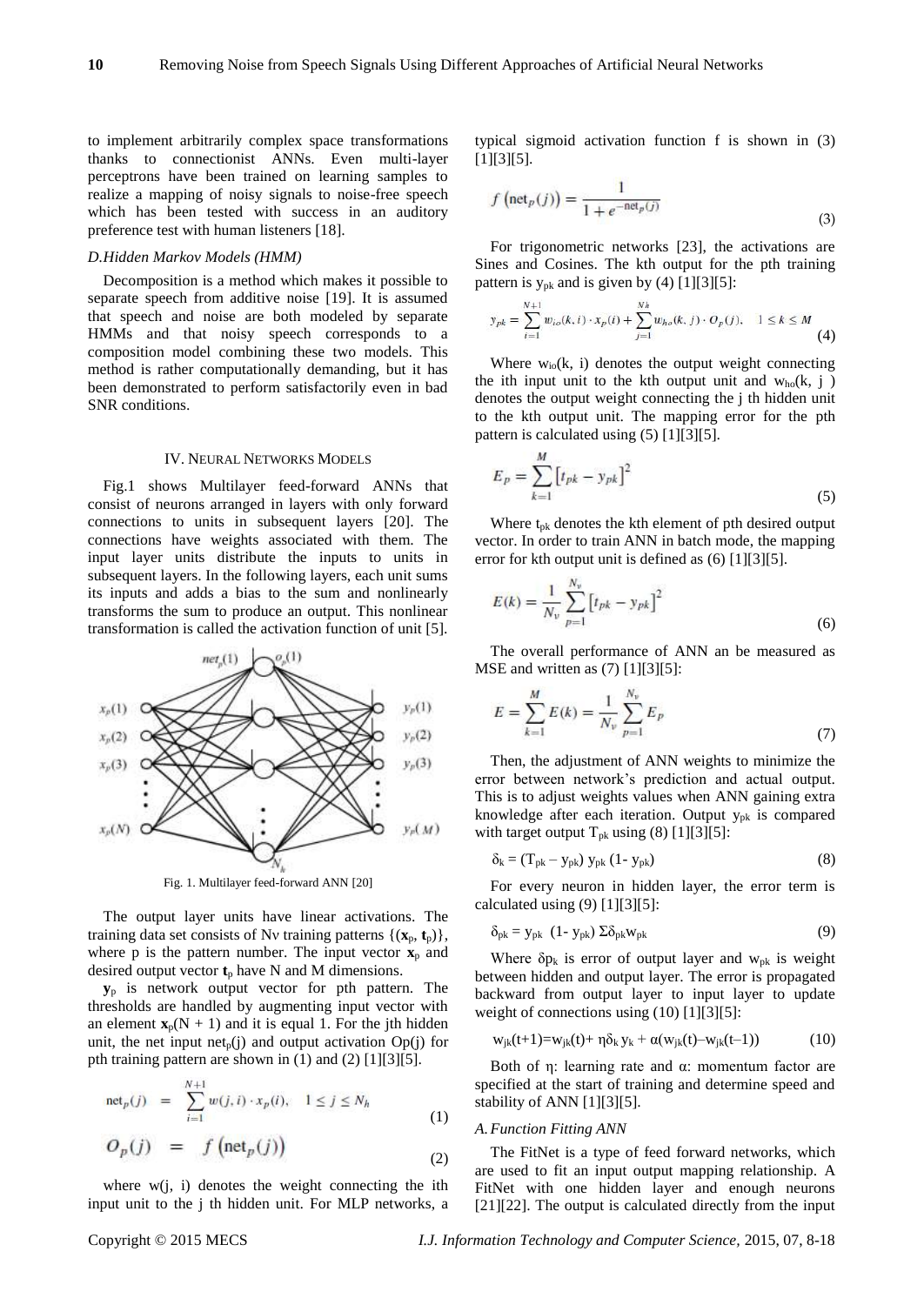to implement arbitrarily complex space transformations thanks to connectionist ANNs. Even multi-layer perceptrons have been trained on learning samples to realize a mapping of noisy signals to noise-free speech which has been tested with success in an auditory preference test with human listeners [18].

# *D.Hidden Markov Models (HMM)*

Decomposition is a method which makes it possible to separate speech from additive noise [19]. It is assumed that speech and noise are both modeled by separate HMMs and that noisy speech corresponds to a composition model combining these two models. This method is rather computationally demanding, but it has been demonstrated to perform satisfactorily even in bad SNR conditions.

#### IV. NEURAL NETWORKS MODELS

Fig.1 shows Multilayer feed-forward ANNs that consist of neurons arranged in layers with only forward connections to units in subsequent layers [20]. The connections have weights associated with them. The input layer units distribute the inputs to units in subsequent layers. In the following layers, each unit sums its inputs and adds a bias to the sum and nonlinearly transforms the sum to produce an output. This nonlinear transformation is called the activation function of unit [5].



Fig. 1. Multilayer feed-forward ANN [20]

The output layer units have linear activations. The training data set consists of Nv training patterns  $\{(\mathbf{x}_p, \mathbf{t}_p)\},\$ where p is the pattern number. The input vector  $\mathbf{x}_p$  and desired output vector  $t_p$  have N and M dimensions.

**y**<sup>p</sup> is network output vector for pth pattern. The thresholds are handled by augmenting input vector with an element  $\mathbf{x}_p(N + 1)$  and it is equal 1. For the jth hidden unit, the net input net<sub>p</sub>(j) and output activation  $Op(j)$  for pth training pattern are shown in (1) and (2) [1][3][5].

$$
net_p(j) = \sum_{i=1}^{N+1} w(j, i) \cdot x_p(i), \quad 1 \le j \le N_h
$$
 (1)

$$
O_p(j) = f\left(\text{net}_p(j)\right) \tag{2}
$$

where  $w(j, i)$  denotes the weight connecting the ith input unit to the j th hidden unit. For MLP networks, a typical sigmoid activation function f is shown in (3) [1][3][5].

$$
f\left(\text{net}_p(j)\right) = \frac{1}{1 + e^{-\text{net}_p(j)}}\tag{3}
$$

For trigonometric networks [23], the activations are Sines and Cosines. The kth output for the pth training pattern is  $y_{pk}$  and is given by (4) [1][3][5]:

$$
y_{pk} = \sum_{i=1}^{N+1} w_{io}(k, i) \cdot x_p(i) + \sum_{j=1}^{Nh} w_{ho}(k, j) \cdot O_p(j), \quad 1 \le k \le M
$$
\n(4)

Where  $w_{io}(k, i)$  denotes the output weight connecting the ith input unit to the kth output unit and  $w_{ho}(k, j)$ denotes the output weight connecting the j th hidden unit to the kth output unit. The mapping error for the pth pattern is calculated using (5) [1][3][5].

$$
E_p = \sum_{k=1}^{M} \left[ t_{pk} - y_{pk} \right]^2 \tag{5}
$$

Where  $t_{pk}$  denotes the kth element of pth desired output vector. In order to train ANN in batch mode, the mapping error for kth output unit is defined as (6) [1][3][5].

$$
E(k) = \frac{1}{N_v} \sum_{p=1}^{N_v} \left[ t_{pk} - y_{pk} \right]^2
$$
 (6)

The overall performance of ANN an be measured as MSE and written as (7) [1][3][5]:

$$
E = \sum_{k=1}^{M} E(k) = \frac{1}{N_{\nu}} \sum_{p=1}^{N_{\nu}} E_p
$$
\n(7)

Then, the adjustment of ANN weights to minimize the error between network's prediction and actual output. This is to adjust weights values when ANN gaining extra knowledge after each iteration. Output ypk is compared with target output  $T_{pk}$  using (8) [1][3][5]:

$$
\delta_{\mathbf{k}} = (\mathbf{T}_{\mathbf{p}\mathbf{k}} - \mathbf{y}_{\mathbf{p}\mathbf{k}}) \mathbf{y}_{\mathbf{p}\mathbf{k}} (1 - \mathbf{y}_{\mathbf{p}\mathbf{k}}) \tag{8}
$$

For every neuron in hidden layer, the error term is calculated using  $(9)$  [1][3][5]:

$$
\delta_{\rm pk} = y_{\rm pk} \ (1 - y_{\rm pk}) \ \Sigma \delta_{\rm pk} w_{\rm pk} \tag{9}
$$

Where  $\delta p_k$  is error of output layer and w<sub>pk</sub> is weight between hidden and output layer. The error is propagated backward from output layer to input layer to update weight of connections using (10) [1][3][5]:

$$
w_{jk}(t+1) = w_{jk}(t) + \eta \delta_k y_k + \alpha(w_{jk}(t) - w_{jk}(t-1))
$$
 (10)

Both of η: learning rate and  $\alpha$ : momentum factor are specified at the start of training and determine speed and stability of ANN [1][3][5].

### *A.Function Fitting ANN*

The FitNet is a type of feed forward networks, which are used to fit an input output mapping relationship. A FitNet with one hidden layer and enough neurons [21][22]. The output is calculated directly from the input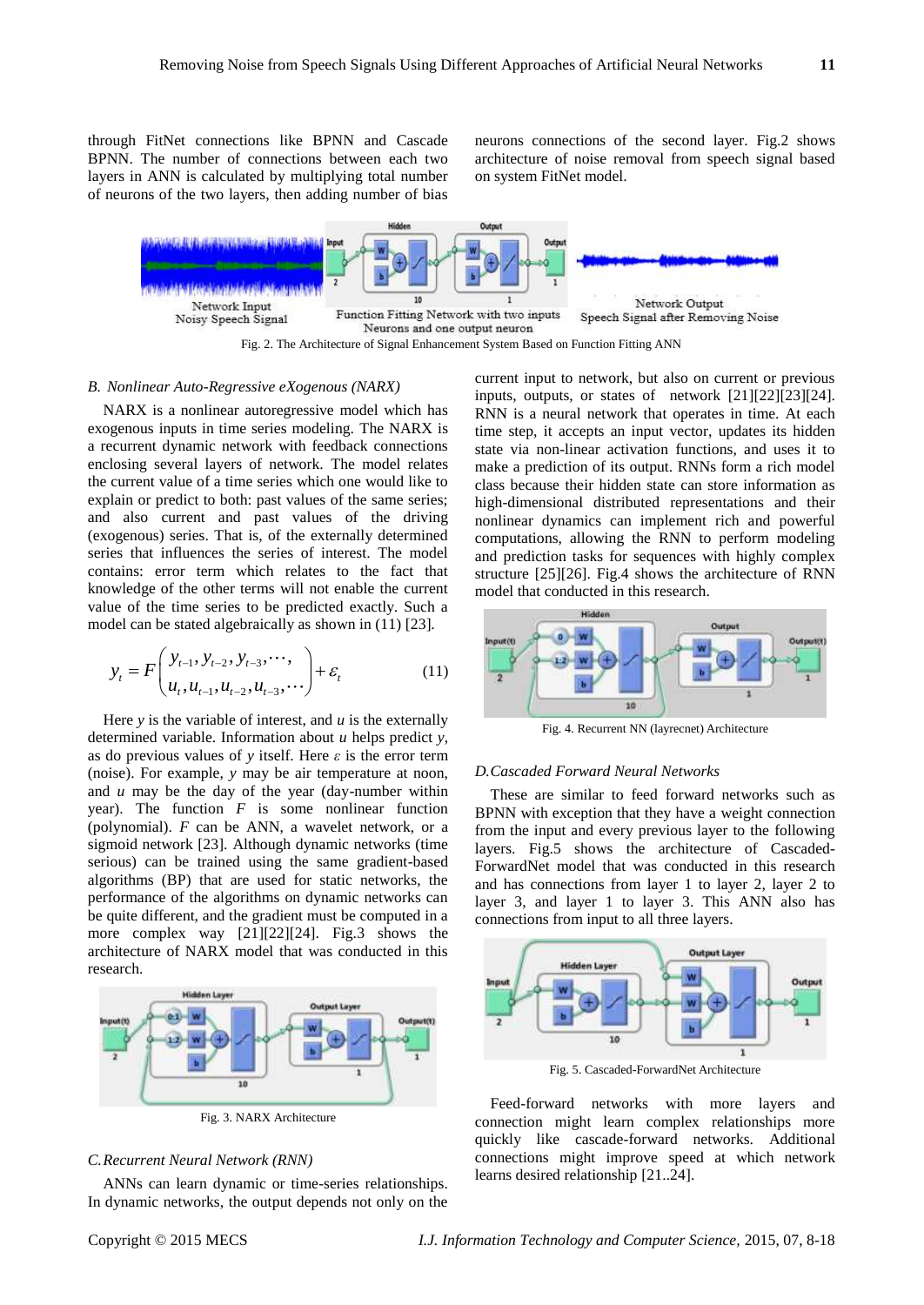through FitNet connections like BPNN and Cascade BPNN. The number of connections between each two layers in ANN is calculated by multiplying total number of neurons of the two layers, then adding number of bias

neurons connections of the second layer. Fig.2 shows architecture of noise removal from speech signal based on system FitNet model.



Fig. 2. The Architecture of Signal Enhancement System Based on Function Fitting ANN

## *B. Nonlinear Auto-Regressive eXogenous (NARX)*

NARX is a nonlinear autoregressive model which has exogenous inputs in time series modeling. The NARX is a recurrent dynamic network with feedback connections enclosing several layers of network. The model relates the current value of a time series which one would like to explain or predict to both: past values of the same series; and also current and past values of the driving (exogenous) series. That is, of the externally determined series that influences the series of interest. The model contains: error term which relates to the fact that knowledge of the other terms will not enable the current value of the time series to be predicted exactly. Such a model can be stated algebraically as shown in (11) [23]*.*

$$
y_{t} = F\left(\frac{y_{t-1}, y_{t-2}, y_{t-3}, \cdots}{u_{t}, u_{t-1}, u_{t-2}, u_{t-3}, \cdots}\right) + \varepsilon_{t}
$$
(11)

Here  $y$  is the variable of interest, and  $u$  is the externally determined variable. Information about *u* helps predict *y*, as do previous values of *y* itself. Here *ε* is the error term (noise). For example, *y* may be air temperature at noon, and *u* may be the day of the year (day-number within year). The function *F* is some nonlinear function (polynomial). *F* can be ANN, a wavelet network, or a sigmoid network [23]. Although dynamic networks (time serious) can be trained using the same gradient-based algorithms (BP) that are used for static networks, the performance of the algorithms on dynamic networks can be quite different, and the gradient must be computed in a more complex way [21][22][24]. Fig.3 shows the architecture of NARX model that was conducted in this research.



Fig. 3. NARX Architecture

# *C.Recurrent Neural Network (RNN)*

ANNs can learn dynamic or time-series relationships. In dynamic networks, the output depends not only on the current input to network, but also on current or previous inputs, outputs, or states of network [21][22][23][24]. RNN is a neural network that operates in time. At each time step, it accepts an input vector, updates its hidden state via non-linear activation functions, and uses it to make a prediction of its output. RNNs form a rich model class because their hidden state can store information as high-dimensional distributed representations and their nonlinear dynamics can implement rich and powerful computations, allowing the RNN to perform modeling and prediction tasks for sequences with highly complex structure [25][26]. Fig.4 shows the architecture of RNN model that conducted in this research.



Fig. 4. Recurrent NN (layrecnet) Architecture

# *D.Cascaded Forward Neural Networks*

These are similar to feed forward networks such as BPNN with exception that they have a weight connection from the input and every previous layer to the following layers. Fig.5 shows the architecture of Cascaded-ForwardNet model that was conducted in this research and has connections from layer 1 to layer 2, layer 2 to layer 3, and layer 1 to layer 3. This ANN also has connections from input to all three layers.



Fig. 5. Cascaded-ForwardNet Architecture

Feed-forward networks with more layers and connection might learn complex relationships more quickly like cascade-forward networks. Additional connections might improve speed at which network learns desired relationship [21..24].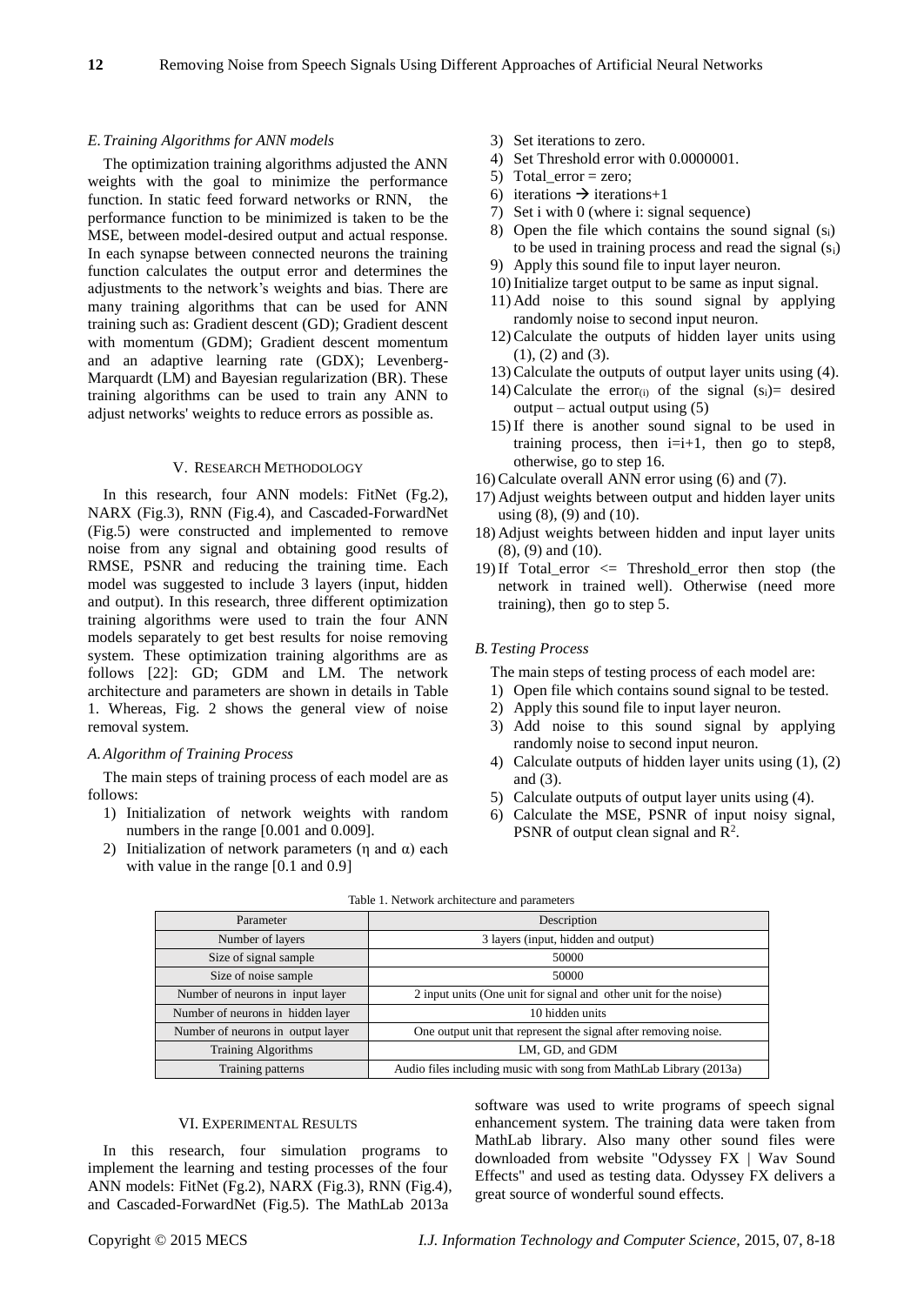## *E.Training Algorithms for ANN models*

The optimization training algorithms adjusted the ANN weights with the goal to minimize the performance function. In static feed forward networks or RNN, the performance function to be minimized is taken to be the MSE, between model-desired output and actual response. In each synapse between connected neurons the training function calculates the output error and determines the adjustments to the network's weights and bias. There are many training algorithms that can be used for ANN training such as: Gradient descent (GD); Gradient descent with momentum (GDM); Gradient descent momentum and an adaptive learning rate (GDX); Levenberg-Marquardt (LM) and Bayesian regularization (BR). These training algorithms can be used to train any ANN to adjust networks' weights to reduce errors as possible as.

# V. RESEARCH METHODOLOGY

In this research, four ANN models: FitNet (Fg.2), NARX (Fig.3), RNN (Fig.4), and Cascaded-ForwardNet (Fig.5) were constructed and implemented to remove noise from any signal and obtaining good results of RMSE, PSNR and reducing the training time. Each model was suggested to include 3 layers (input, hidden and output). In this research, three different optimization training algorithms were used to train the four ANN models separately to get best results for noise removing system. These optimization training algorithms are as follows [22]: GD; GDM and LM. The network architecture and parameters are shown in details in Table 1. Whereas, Fig. 2 shows the general view of noise removal system.

# *A.Algorithm of Training Process*

The main steps of training process of each model are as follows:

- 1) Initialization of network weights with random numbers in the range [0.001 and 0.009].
- 2) Initialization of network parameters (η and  $α$ ) each with value in the range [0.1 and 0.9]
- 3) Set iterations to zero.
- 4) Set Threshold error with 0.0000001.
- 5) Total\_error = zero;
- 6) iterations  $\rightarrow$  iterations+1
- 7) Set i with 0 (where i: signal sequence)
- 8) Open the file which contains the sound signal  $(s_i)$ to be used in training process and read the signal (si)
- 9) Apply this sound file to input layer neuron.
- 10)Initialize target output to be same as input signal.
- 11) Add noise to this sound signal by applying randomly noise to second input neuron.
- 12)Calculate the outputs of hidden layer units using (1), (2) and (3).
- 13)Calculate the outputs of output layer units using (4).
- 14) Calculate the error<sub>(i)</sub> of the signal  $(s_i)$  desired  $output - actual output using (5)$
- 15)If there is another sound signal to be used in training process, then  $i=i+1$ , then go to step8, otherwise, go to step 16.
- 16)Calculate overall ANN error using (6) and (7).
- 17) Adjust weights between output and hidden layer units using (8), (9) and (10).
- 18) Adjust weights between hidden and input layer units (8), (9) and (10).
- 19) If Total error  $\leq$  Threshold error then stop (the network in trained well). Otherwise (need more training), then go to step 5.

# *B.Testing Process*

- The main steps of testing process of each model are:
- 1) Open file which contains sound signal to be tested.
- 2) Apply this sound file to input layer neuron.
- 3) Add noise to this sound signal by applying randomly noise to second input neuron.
- 4) Calculate outputs of hidden layer units using (1), (2) and (3).
- 5) Calculate outputs of output layer units using (4).
- 6) Calculate the MSE, PSNR of input noisy signal, PSNR of output clean signal and  $\mathbb{R}^2$ .

| Parameter                         | Description                                                        |
|-----------------------------------|--------------------------------------------------------------------|
| Number of layers                  | 3 layers (input, hidden and output)                                |
| Size of signal sample             | 50000                                                              |
| Size of noise sample              | 50000                                                              |
| Number of neurons in input layer  | 2 input units (One unit for signal and other unit for the noise)   |
| Number of neurons in hidden layer | 10 hidden units                                                    |
| Number of neurons in output layer | One output unit that represent the signal after removing noise.    |
| <b>Training Algorithms</b>        | LM, GD, and GDM                                                    |
| Training patterns                 | Audio files including music with song from MathLab Library (2013a) |

#### Table 1. Network architecture and parameters

# VI. EXPERIMENTAL RESULTS

In this research, four simulation programs to implement the learning and testing processes of the four ANN models: FitNet (Fg.2), NARX (Fig.3), RNN (Fig.4), and Cascaded-ForwardNet (Fig.5). The MathLab 2013a

software was used to write programs of speech signal enhancement system. The training data were taken from MathLab library. Also many other sound files were downloaded from website "Odyssey FX | Wav Sound Effects" and used as testing data. Odyssey FX delivers a great source of wonderful sound effects.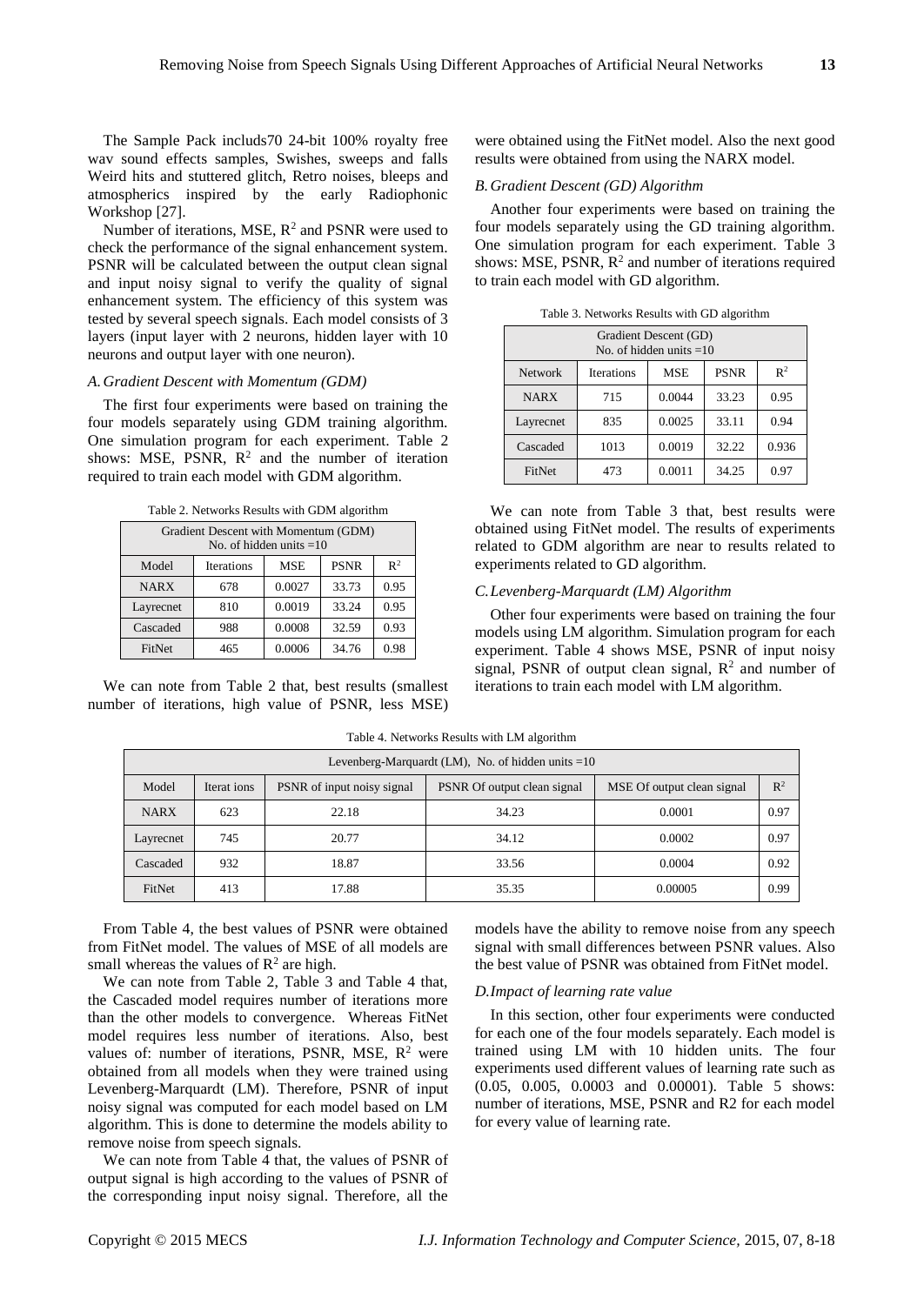The Sample Pack includs70 24-bit 100% royalty free wav sound effects samples, Swishes, sweeps and falls Weird hits and stuttered glitch, Retro noises, bleeps and atmospherics inspired by the early Radiophonic Workshop [27].

Number of iterations, MSE,  $R^2$  and PSNR were used to check the performance of the signal enhancement system. PSNR will be calculated between the output clean signal and input noisy signal to verify the quality of signal enhancement system. The efficiency of this system was tested by several speech signals. Each model consists of 3 layers (input layer with 2 neurons, hidden layer with 10 neurons and output layer with one neuron).

# *A.Gradient Descent with Momentum (GDM)*

The first four experiments were based on training the four models separately using GDM training algorithm. One simulation program for each experiment. Table 2 shows: MSE, PSNR,  $R^2$  and the number of iteration required to train each model with GDM algorithm.

Table 2. Networks Results with GDM algorithm

| Gradient Descent with Momentum (GDM)<br>No. of hidden units $=10$ |            |            |             |                |  |
|-------------------------------------------------------------------|------------|------------|-------------|----------------|--|
| Model                                                             | Iterations | <b>MSE</b> | <b>PSNR</b> | $\mathbb{R}^2$ |  |
| <b>NARX</b>                                                       | 678        | 0.0027     | 33.73       | 0.95           |  |
| Layrecnet                                                         | 810        | 0.0019     | 33.24       | 0.95           |  |
| Cascaded                                                          | 988        | 32.59      | 0.93        |                |  |
| FitNet                                                            | 465        | 0.0006     | 34.76       | 0.98           |  |

We can note from Table 2 that, best results (smallest number of iterations, high value of PSNR, less MSE) were obtained using the FitNet model. Also the next good results were obtained from using the NARX model.

#### *B.Gradient Descent (GD) Algorithm*

Another four experiments were based on training the four models separately using the GD training algorithm. One simulation program for each experiment. Table 3 shows: MSE, PSNR,  $R<sup>2</sup>$  and number of iterations required to train each model with GD algorithm.

| Gradient Descent (GD)<br>No. of hidden units $=10$ |                   |            |             |                |  |  |
|----------------------------------------------------|-------------------|------------|-------------|----------------|--|--|
| <b>Network</b>                                     | <b>Iterations</b> | <b>MSE</b> | <b>PSNR</b> | $\mathbb{R}^2$ |  |  |
| <b>NARX</b>                                        | 715               | 0.0044     | 33.23       | 0.95           |  |  |
| Layrecnet                                          | 835               | 0.0025     | 33.11       | 0.94           |  |  |
| Cascaded                                           | 1013              | 0.0019     | 32.22       | 0.936          |  |  |
| <b>FitNet</b>                                      | 473               | 0.0011     | 34.25       | 0.97           |  |  |

Table 3. Networks Results with GD algorithm

We can note from Table 3 that, best results were obtained using FitNet model. The results of experiments related to GDM algorithm are near to results related to experiments related to GD algorithm.

# *C.Levenberg-Marquardt (LM) Algorithm*

Other four experiments were based on training the four models using LM algorithm. Simulation program for each experiment. Table 4 shows MSE, PSNR of input noisy signal, PSNR of output clean signal,  $R<sup>2</sup>$  and number of iterations to train each model with LM algorithm.

|             | Levenberg-Marquardt (LM), No. of hidden units $=10$ |                            |                             |                            |       |  |  |
|-------------|-----------------------------------------------------|----------------------------|-----------------------------|----------------------------|-------|--|--|
| Model       | Iterat ions                                         | PSNR of input noisy signal | PSNR Of output clean signal | MSE Of output clean signal | $R^2$ |  |  |
| <b>NARX</b> | 623                                                 | 22.18                      | 34.23                       | 0.0001                     | 0.97  |  |  |
| Layrecnet   | 745                                                 | 20.77                      | 34.12                       | 0.0002                     | 0.97  |  |  |
| Cascaded    | 932                                                 | 18.87                      | 33.56                       | 0.0004                     | 0.92  |  |  |
| FitNet      | 413                                                 | 17.88                      | 35.35                       | 0.00005                    | 0.99  |  |  |

Table 4. Networks Results with LM algorithm

From Table 4, the best values of PSNR were obtained from FitNet model. The values of MSE of all models are small whereas the values of  $\mathbb{R}^2$  are high.

We can note from Table 2, Table 3 and Table 4 that, the Cascaded model requires number of iterations more than the other models to convergence. Whereas FitNet model requires less number of iterations. Also, best values of: number of iterations, PSNR, MSE,  $R<sup>2</sup>$  were obtained from all models when they were trained using Levenberg-Marquardt (LM). Therefore, PSNR of input noisy signal was computed for each model based on LM algorithm. This is done to determine the models ability to remove noise from speech signals.

We can note from Table 4 that, the values of PSNR of output signal is high according to the values of PSNR of the corresponding input noisy signal. Therefore, all the

models have the ability to remove noise from any speech signal with small differences between PSNR values. Also the best value of PSNR was obtained from FitNet model.

# *D.Impact of learning rate value*

In this section, other four experiments were conducted for each one of the four models separately. Each model is trained using LM with 10 hidden units. The four experiments used different values of learning rate such as (0.05, 0.005, 0.0003 and 0.00001). Table 5 shows: number of iterations, MSE, PSNR and R2 for each model for every value of learning rate.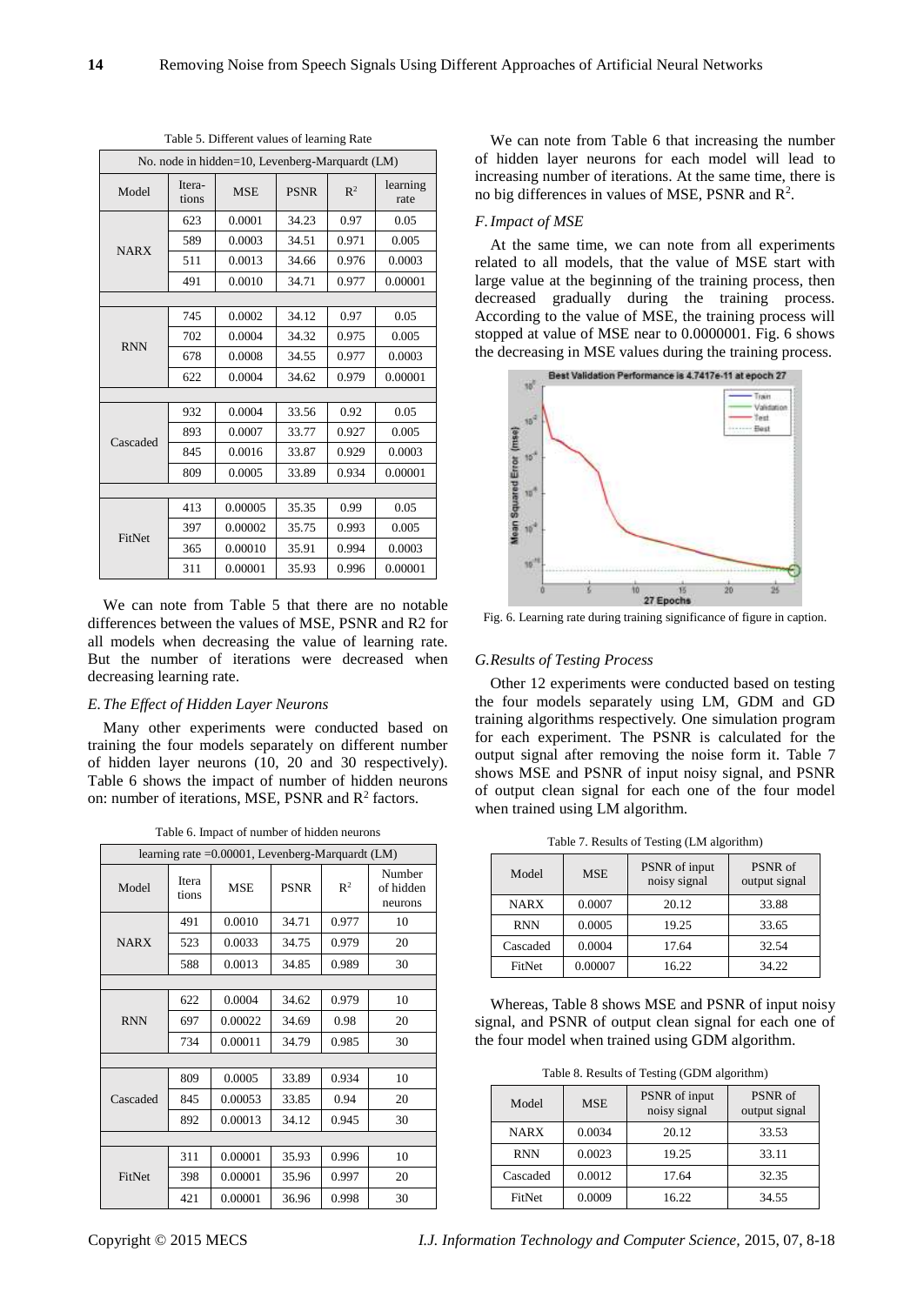| No. node in hidden=10, Levenberg-Marquardt (LM) |                 |            |             |       |                  |  |
|-------------------------------------------------|-----------------|------------|-------------|-------|------------------|--|
| Model                                           | Itera-<br>tions | <b>MSE</b> | <b>PSNR</b> | $R^2$ | learning<br>rate |  |
|                                                 | 623             | 0.0001     | 34.23       | 0.97  | 0.05             |  |
| <b>NARX</b>                                     | 589             | 0.0003     | 34.51       | 0.971 | 0.005            |  |
|                                                 | 511             | 0.0013     | 34.66       | 0.976 | 0.0003           |  |
|                                                 | 491             | 0.0010     | 34.71       | 0.977 | 0.00001          |  |
|                                                 |                 |            |             |       |                  |  |
|                                                 | 745             | 0.0002     | 34.12       | 0.97  | 0.05             |  |
| <b>RNN</b>                                      | 702             | 0.0004     | 34.32       | 0.975 | 0.005            |  |
|                                                 | 678             | 0.0008     | 34.55       | 0.977 | 0.0003           |  |
|                                                 | 622             | 0.0004     | 34.62       | 0.979 | 0.00001          |  |
|                                                 |                 |            |             |       |                  |  |
|                                                 | 932             | 0.0004     | 33.56       | 0.92  | 0.05             |  |
| Cascaded                                        | 893             | 0.0007     | 33.77       | 0.927 | 0.005            |  |
|                                                 | 845             | 0.0016     | 33.87       | 0.929 | 0.0003           |  |
|                                                 | 809             | 0.0005     | 33.89       | 0.934 | 0.00001          |  |
|                                                 |                 |            |             |       |                  |  |
|                                                 | 413             | 0.00005    | 35.35       | 0.99  | 0.05             |  |
| <b>FitNet</b>                                   | 397             | 0.00002    | 35.75       | 0.993 | 0.005            |  |
|                                                 | 365             | 0.00010    | 35.91       | 0.994 | 0.0003           |  |
|                                                 | 311             | 0.00001    | 35.93       | 0.996 | 0.00001          |  |

Table 5. Different values of learning Rate

We can note from Table 5 that there are no notable differences between the values of MSE, PSNR and R2 for all models when decreasing the value of learning rate. But the number of iterations were decreased when decreasing learning rate.

## *E.The Effect of Hidden Layer Neurons*

Many other experiments were conducted based on training the four models separately on different number of hidden layer neurons (10, 20 and 30 respectively). Table 6 shows the impact of number of hidden neurons on: number of iterations, MSE, PSNR and  $R^2$  factors.

Table 6. Impact of number of hidden neurons

|               | learning rate = 0.00001, Levenberg-Marquardt (LM) |            |             |                |                                |  |
|---------------|---------------------------------------------------|------------|-------------|----------------|--------------------------------|--|
| Model         | Itera<br>tions                                    | <b>MSE</b> | <b>PSNR</b> | $\mathbb{R}^2$ | Number<br>of hidden<br>neurons |  |
|               | 491                                               | 0.0010     | 34.71       | 0.977          | 10                             |  |
| <b>NARX</b>   | 523                                               | 0.0033     | 34.75       | 0.979          | 20                             |  |
|               | 588                                               | 0.0013     | 34.85       | 0.989          | 30                             |  |
|               |                                                   |            |             |                |                                |  |
|               | 622                                               | 0.0004     | 34.62       | 0.979          | 10                             |  |
| <b>RNN</b>    | 697                                               | 0.00022    | 34.69       | 0.98           | 20                             |  |
|               | 734                                               | 0.00011    | 34.79       | 0.985          | 30                             |  |
|               |                                                   |            |             |                |                                |  |
|               | 809                                               | 0.0005     | 33.89       | 0.934          | 10                             |  |
| Cascaded      | 845                                               | 0.00053    | 33.85       | 0.94           | 20                             |  |
|               | 892                                               | 0.00013    | 34.12       | 0.945          | 30                             |  |
|               |                                                   |            |             |                |                                |  |
|               | 311                                               | 0.00001    | 35.93       | 0.996          | 10                             |  |
| <b>FitNet</b> | 398                                               | 0.00001    | 35.96       | 0.997          | 20                             |  |
|               | 421                                               | 0.00001    | 36.96       | 0.998          | 30                             |  |

We can note from Table 6 that increasing the number of hidden layer neurons for each model will lead to increasing number of iterations. At the same time, there is no big differences in values of MSE, PSNR and  $\mathbb{R}^2$ .

## *F.Impact of MSE*

At the same time, we can note from all experiments related to all models, that the value of MSE start with large value at the beginning of the training process, then decreased gradually during the training process. According to the value of MSE, the training process will stopped at value of MSE near to 0.0000001. Fig. 6 shows the decreasing in MSE values during the training process.



Fig. 6. Learning rate during training significance of figure in caption.

# *G.Results of Testing Process*

Other 12 experiments were conducted based on testing the four models separately using LM, GDM and GD training algorithms respectively. One simulation program for each experiment. The PSNR is calculated for the output signal after removing the noise form it. Table 7 shows MSE and PSNR of input noisy signal, and PSNR of output clean signal for each one of the four model when trained using LM algorithm.

| Model       | <b>MSE</b> | PSNR of input<br>noisy signal | PSNR of<br>output signal |
|-------------|------------|-------------------------------|--------------------------|
| <b>NARX</b> | 0.0007     | 20.12                         | 33.88                    |
| <b>RNN</b>  | 0.0005     | 19.25                         | 33.65                    |
| Cascaded    | 0.0004     | 17.64                         | 32.54                    |
| FitNet      | 0.00007    | 16.22                         | 34.22                    |

Table 7. Results of Testing (LM algorithm)

Whereas, Table 8 shows MSE and PSNR of input noisy signal, and PSNR of output clean signal for each one of the four model when trained using GDM algorithm.

Table 8. Results of Testing (GDM algorithm)

| Model       | <b>MSE</b> | PSNR of input<br>noisy signal | PSNR of<br>output signal |
|-------------|------------|-------------------------------|--------------------------|
| <b>NARX</b> | 0.0034     | 20.12                         | 33.53                    |
| <b>RNN</b>  | 0.0023     | 19.25                         | 33.11                    |
| Cascaded    | 0.0012     | 17.64                         | 32.35                    |
| FitNet      | 0.0009     | 16.22                         | 34.55                    |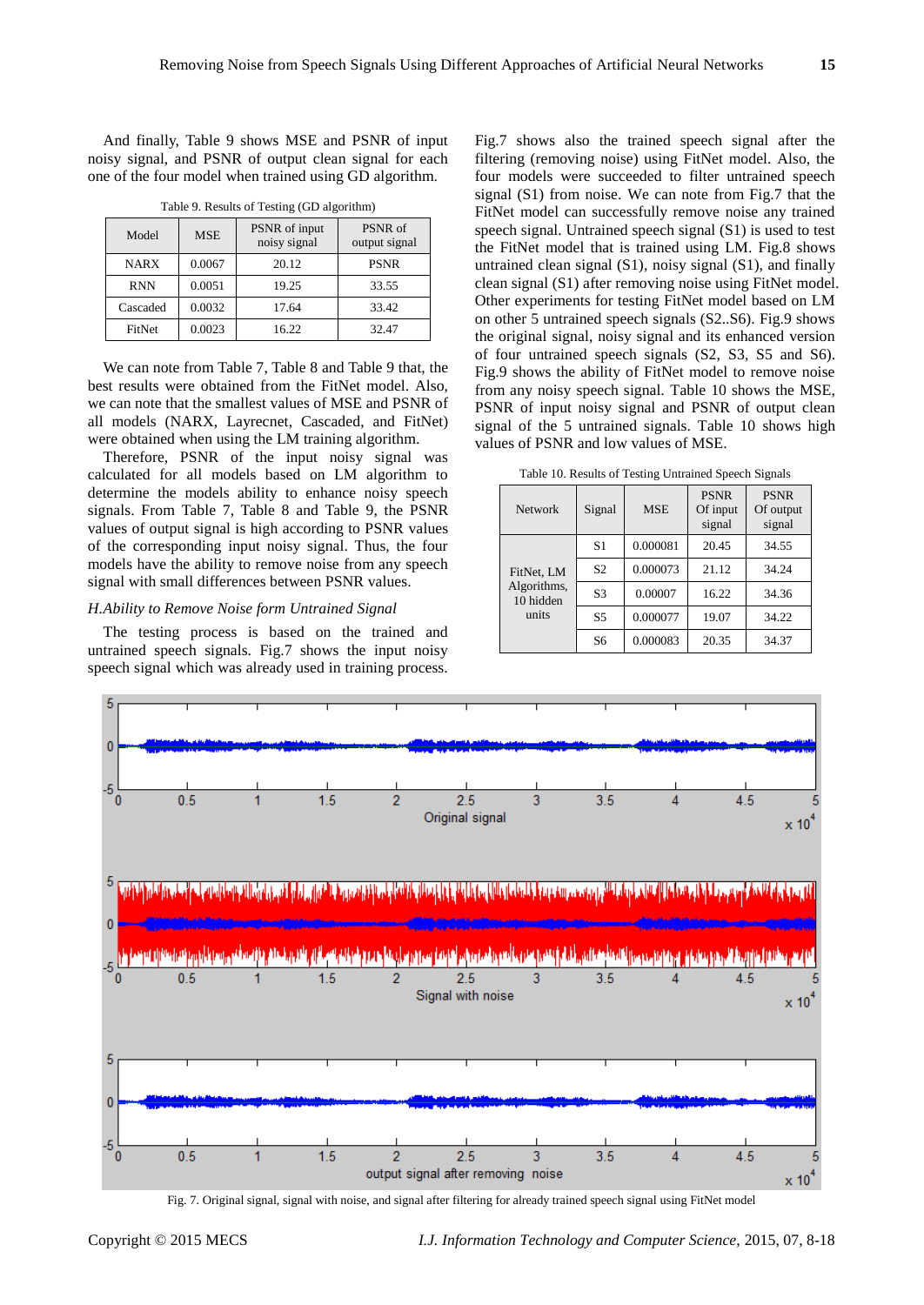And finally, Table 9 shows MSE and PSNR of input noisy signal, and PSNR of output clean signal for each one of the four model when trained using GD algorithm.

| Model         | <b>MSE</b> | PSNR of input<br>noisy signal | PSNR of<br>output signal |
|---------------|------------|-------------------------------|--------------------------|
| <b>NARX</b>   | 0.0067     | 20.12                         | <b>PSNR</b>              |
| <b>RNN</b>    | 0.0051     | 19.25                         | 33.55                    |
| Cascaded      | 0.0032     | 17.64                         | 33.42                    |
| <b>FitNet</b> | 0.0023     | 16.22                         | 32.47                    |

Table 9. Results of Testing (GD algorithm)

We can note from Table 7, Table 8 and Table 9 that, the best results were obtained from the FitNet model. Also, we can note that the smallest values of MSE and PSNR of all models (NARX, Layrecnet, Cascaded, and FitNet) were obtained when using the LM training algorithm.

Therefore, PSNR of the input noisy signal was calculated for all models based on LM algorithm to determine the models ability to enhance noisy speech signals. From Table 7, Table 8 and Table 9, the PSNR values of output signal is high according to PSNR values of the corresponding input noisy signal. Thus, the four models have the ability to remove noise from any speech signal with small differences between PSNR values.

# *H.Ability to Remove Noise form Untrained Signal*

The testing process is based on the trained and untrained speech signals. Fig.7 shows the input noisy speech signal which was already used in training process.

Fig.7 shows also the trained speech signal after the filtering (removing noise) using FitNet model. Also, the four models were succeeded to filter untrained speech signal (S1) from noise. We can note from Fig.7 that the FitNet model can successfully remove noise any trained speech signal. Untrained speech signal (S1) is used to test the FitNet model that is trained using LM. Fig.8 shows untrained clean signal (S1), noisy signal (S1), and finally clean signal (S1) after removing noise using FitNet model. Other experiments for testing FitNet model based on LM on other 5 untrained speech signals (S2..S6). Fig.9 shows the original signal, noisy signal and its enhanced version of four untrained speech signals (S2, S3, S5 and S6). Fig.9 shows the ability of FitNet model to remove noise from any noisy speech signal. Table 10 shows the MSE, PSNR of input noisy signal and PSNR of output clean signal of the 5 untrained signals. Table 10 shows high values of PSNR and low values of MSE.

Table 10. Results of Testing Untrained Speech Signals

| <b>Network</b>                                  | Signal         | <b>MSE</b> | <b>PSNR</b><br>Of input<br>signal | <b>PSNR</b><br>Of output<br>signal |
|-------------------------------------------------|----------------|------------|-----------------------------------|------------------------------------|
| FitNet. LM<br>Algorithms,<br>10 hidden<br>units | S1             | 0.000081   | 20.45                             | 34.55                              |
|                                                 | S <sub>2</sub> | 0.000073   | 21.12                             | 34.24                              |
|                                                 | S <sub>3</sub> | 0.00007    | 16.22                             | 34.36                              |
|                                                 | S <sub>5</sub> | 0.000077   | 19.07                             | 34.22                              |
|                                                 | S <sub>6</sub> | 0.000083   | 20.35                             | 34.37                              |



Fig. 7. Original signal, signal with noise, and signal after filtering for already trained speech signal using FitNet model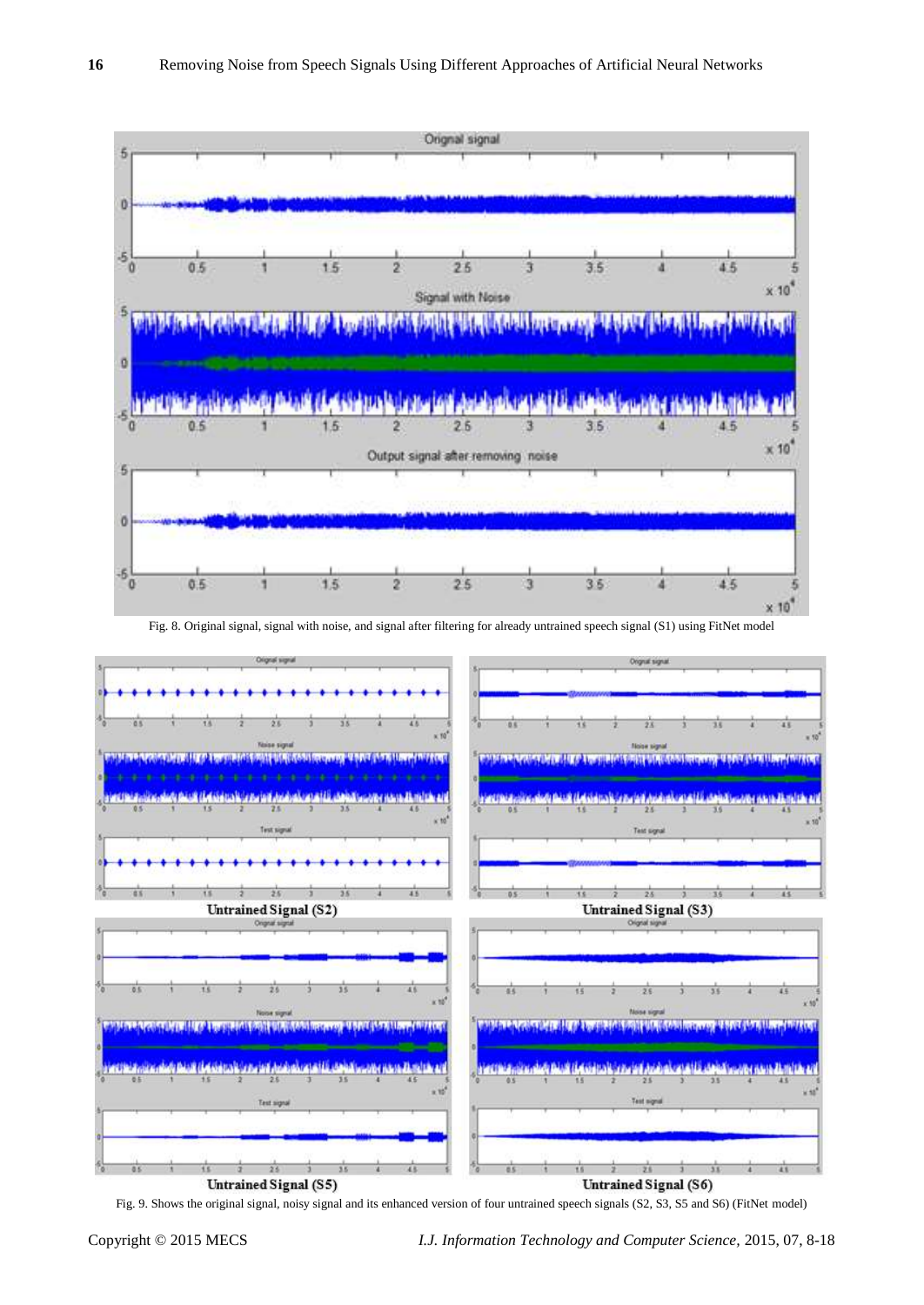

Fig. 8. Original signal, signal with noise, and signal after filtering for already untrained speech signal (S1) using FitNet model



Fig. 9. Shows the original signal, noisy signal and its enhanced version of four untrained speech signals (S2, S3, S5 and S6) (FitNet model)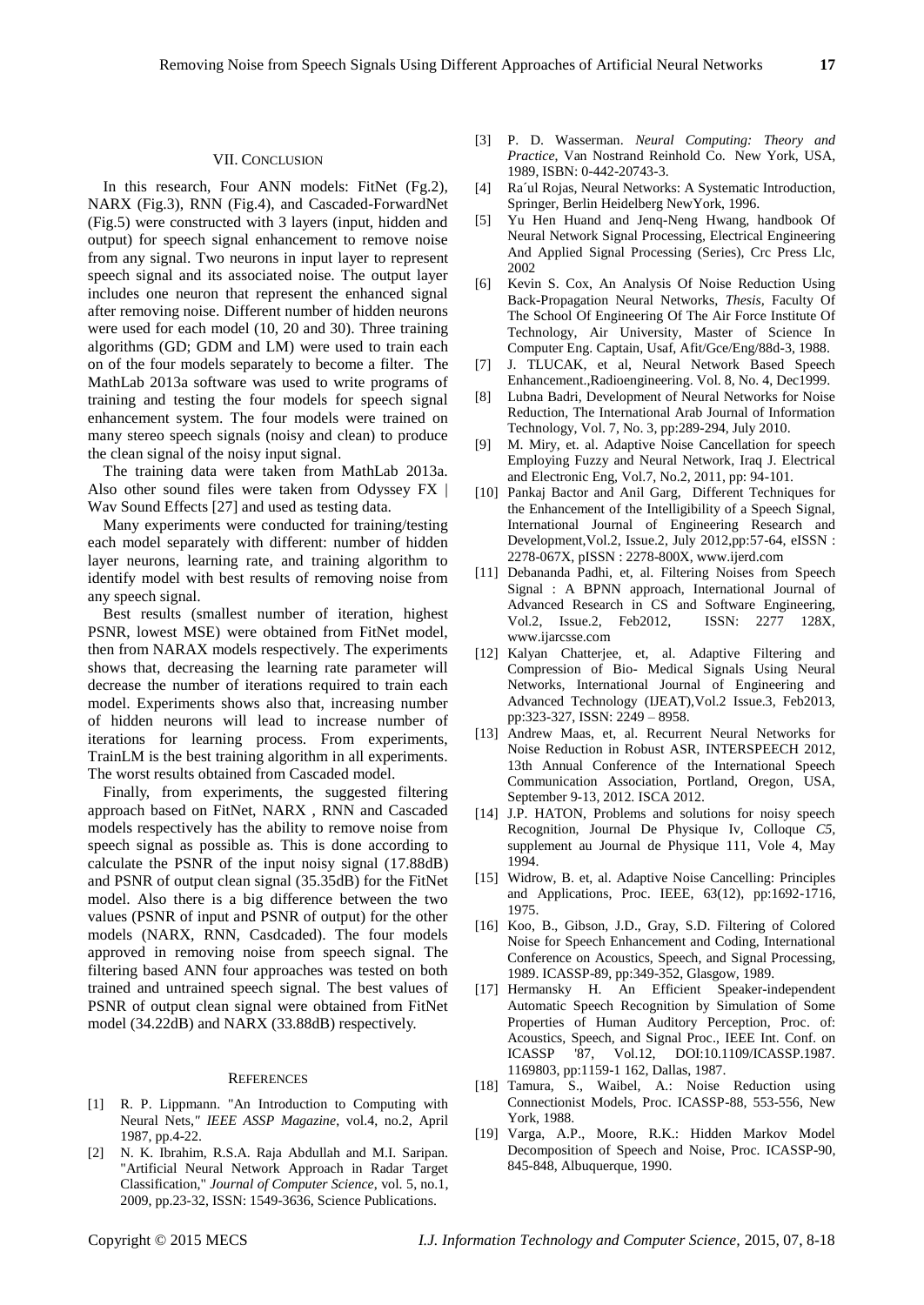# VII. CONCLUSION

In this research, Four ANN models: FitNet (Fg.2), NARX (Fig.3), RNN (Fig.4), and Cascaded-ForwardNet (Fig.5) were constructed with 3 layers (input, hidden and output) for speech signal enhancement to remove noise from any signal. Two neurons in input layer to represent speech signal and its associated noise. The output layer includes one neuron that represent the enhanced signal after removing noise. Different number of hidden neurons were used for each model (10, 20 and 30). Three training algorithms (GD; GDM and LM) were used to train each on of the four models separately to become a filter. The MathLab 2013a software was used to write programs of training and testing the four models for speech signal enhancement system. The four models were trained on many stereo speech signals (noisy and clean) to produce the clean signal of the noisy input signal.

The training data were taken from MathLab 2013a. Also other sound files were taken from Odyssey FX | Wav Sound Effects [27] and used as testing data.

Many experiments were conducted for training/testing each model separately with different: number of hidden layer neurons, learning rate, and training algorithm to identify model with best results of removing noise from any speech signal.

Best results (smallest number of iteration, highest PSNR, lowest MSE) were obtained from FitNet model, then from NARAX models respectively. The experiments shows that, decreasing the learning rate parameter will decrease the number of iterations required to train each model. Experiments shows also that, increasing number of hidden neurons will lead to increase number of iterations for learning process. From experiments, TrainLM is the best training algorithm in all experiments. The worst results obtained from Cascaded model.

Finally, from experiments, the suggested filtering approach based on FitNet, NARX , RNN and Cascaded models respectively has the ability to remove noise from speech signal as possible as. This is done according to calculate the PSNR of the input noisy signal (17.88dB) and PSNR of output clean signal (35.35dB) for the FitNet model. Also there is a big difference between the two values (PSNR of input and PSNR of output) for the other models (NARX, RNN, Casdcaded). The four models approved in removing noise from speech signal. The filtering based ANN four approaches was tested on both trained and untrained speech signal. The best values of PSNR of output clean signal were obtained from FitNet model (34.22dB) and NARX (33.88dB) respectively.

## **REFERENCES**

- [1] R. P. Lippmann. "An Introduction to Computing with Neural Nets*," IEEE ASSP Magazine*, vol.4, no.2, April 1987, pp.4-22.
- [2] N. K. Ibrahim, R.S.A. Raja Abdullah and M.I. Saripan. "Artificial Neural Network Approach in Radar Target Classification," *Journal of Computer Science*, vol. 5, no.1, 2009, pp.23-32, ISSN: 1549-3636, Science Publications.
- [3] P. D. Wasserman. *Neural Computing: Theory and Practice*, Van Nostrand Reinhold Co. New York, USA, 1989, ISBN: 0-442-20743-3.
- [4] Ra´ul Rojas, Neural Networks: A Systematic Introduction, Springer, Berlin Heidelberg NewYork, 1996.
- [5] Yu Hen Huand and Jenq-Neng Hwang, handbook Of Neural Network Signal Processing, Electrical Engineering And Applied Signal Processing (Series), Crc Press Llc, 2002
- [6] Kevin S. Cox, An Analysis Of Noise Reduction Using Back-Propagation Neural Networks, *Thesis,* Faculty Of The School Of Engineering Of The Air Force Institute Of Technology, Air University, Master of Science In Computer Eng. Captain, Usaf, Afit/Gce/Eng/88d-3, 1988.
- [7] J. TLUCAK, et al, Neural Network Based Speech Enhancement.,Radioengineering. Vol. 8, No. 4, Dec1999.
- [8] Lubna Badri, Development of Neural Networks for Noise Reduction, The International Arab Journal of Information Technology, Vol. 7, No. 3, pp:289-294, July 2010.
- [9] M. Miry, et. al. Adaptive Noise Cancellation for speech Employing Fuzzy and Neural Network, Iraq J. Electrical and Electronic Eng, Vol.7, No.2, 2011, pp: 94-101.
- [10] Pankaj Bactor and Anil Garg, Different Techniques for the Enhancement of the Intelligibility of a Speech Signal, International Journal of Engineering Research and Development,Vol.2, Issue.2, July 2012,pp:57-64, eISSN : 2278-067X, pISSN : 2278-800X[, www.ijerd.com](http://www.ijerd.com/)
- [11] Debananda Padhi, et, al. Filtering Noises from Speech Signal : A BPNN approach, International Journal of Advanced Research in CS and Software Engineering, Vol.2, Issue.2, Feb2012, ISSN: 2277 128X, www.ijarcsse.com
- [12] Kalyan Chatterjee, et, al. Adaptive Filtering and Compression of Bio- Medical Signals Using Neural Networks, International Journal of Engineering and Advanced Technology (IJEAT),Vol.2 Issue.3, Feb2013, pp:323-327, ISSN: 2249 – 8958.
- [13] Andrew Maas, et, al. Recurrent Neural Networks for Noise Reduction in Robust ASR, INTERSPEECH 2012, 13th Annual Conference of the International Speech Communication Association, Portland, Oregon, USA, September 9-13, 2012. ISCA 2012.
- [14] J.P. HATON, Problems and solutions for noisy speech Recognition, Journal De Physique Iv, Colloque *C5,*  supplement au Journal de Physique 111, Vole 4, May 1994.
- [15] Widrow, B. et, al. Adaptive Noise Cancelling: Principles and Applications, Proc. IEEE, 63(12), pp:1692-1716, 1975.
- [16] Koo, B., Gibson, J.D., Gray, S.D. Filtering of Colored Noise for Speech Enhancement and Coding, International Conference on Acoustics, Speech, and Signal Processing, 1989. ICASSP-89, pp:349-352, Glasgow, 1989.
- [17] Hermansky H. An Efficient Speaker-independent Automatic Speech Recognition by Simulation of Some Properties of Human Auditory Perception, Proc. of: Acoustics, Speech, and Signal Proc., IEEE Int. Conf. on ICASSP '87, Vol.12, DOI:10.1109/ICASSP.1987. 1169803, pp:1159-1 162, Dallas, 1987.
- [18] Tamura, S., Waibel, A.: Noise Reduction using Connectionist Models, Proc. ICASSP-88, 553-556, New York, 1988.
- [19] Varga, A.P., Moore, R.K.: Hidden Markov Model Decomposition of Speech and Noise, Proc. ICASSP-90, 845-848, Albuquerque, 1990.